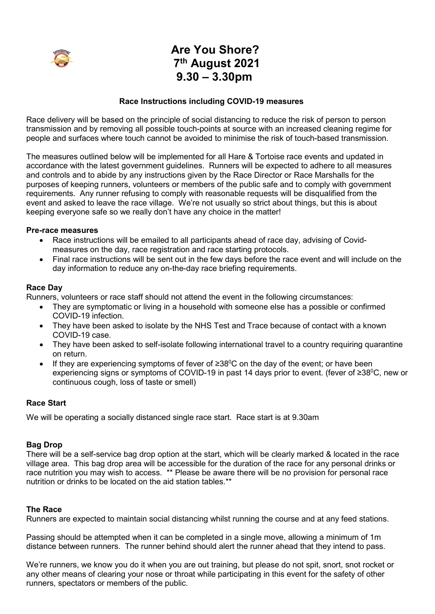

# **Are You Shore? 7th August 2021 9.30 – 3.30pm**

# **Race Instructions including COVID-19 measures**

Race delivery will be based on the principle of social distancing to reduce the risk of person to person transmission and by removing all possible touch-points at source with an increased cleaning regime for people and surfaces where touch cannot be avoided to minimise the risk of touch-based transmission.

The measures outlined below will be implemented for all Hare & Tortoise race events and updated in accordance with the latest government guidelines. Runners will be expected to adhere to all measures and controls and to abide by any instructions given by the Race Director or Race Marshalls for the purposes of keeping runners, volunteers or members of the public safe and to comply with government requirements. Any runner refusing to comply with reasonable requests will be disqualified from the event and asked to leave the race village. We're not usually so strict about things, but this is about keeping everyone safe so we really don't have any choice in the matter!

#### **Pre-race measures**

- Race instructions will be emailed to all participants ahead of race day, advising of Covidmeasures on the day, race registration and race starting protocols.
- Final race instructions will be sent out in the few days before the race event and will include on the day information to reduce any on-the-day race briefing requirements.

#### **Race Day**

Runners, volunteers or race staff should not attend the event in the following circumstances:

- They are symptomatic or living in a household with someone else has a possible or confirmed COVID-19 infection.
- They have been asked to isolate by the NHS Test and Trace because of contact with a known COVID-19 case.
- They have been asked to self-isolate following international travel to a country requiring quarantine on return.
- If they are experiencing symptoms of fever of  $\geq 38^{\circ}$ C on the day of the event; or have been experiencing signs or symptoms of COVID-19 in past 14 days prior to event. (fever of ≥38<sup>0</sup>C, new or continuous cough, loss of taste or smell)

# **Race Start**

We will be operating a socially distanced single race start. Race start is at 9.30am

## **Bag Drop**

There will be a self-service bag drop option at the start, which will be clearly marked & located in the race village area. This bag drop area will be accessible for the duration of the race for any personal drinks or race nutrition you may wish to access. \*\* Please be aware there will be no provision for personal race nutrition or drinks to be located on the aid station tables.\*\*

## **The Race**

Runners are expected to maintain social distancing whilst running the course and at any feed stations.

Passing should be attempted when it can be completed in a single move, allowing a minimum of 1m distance between runners. The runner behind should alert the runner ahead that they intend to pass.

We're runners, we know you do it when you are out training, but please do not spit, snort, snot rocket or any other means of clearing your nose or throat while participating in this event for the safety of other runners, spectators or members of the public.